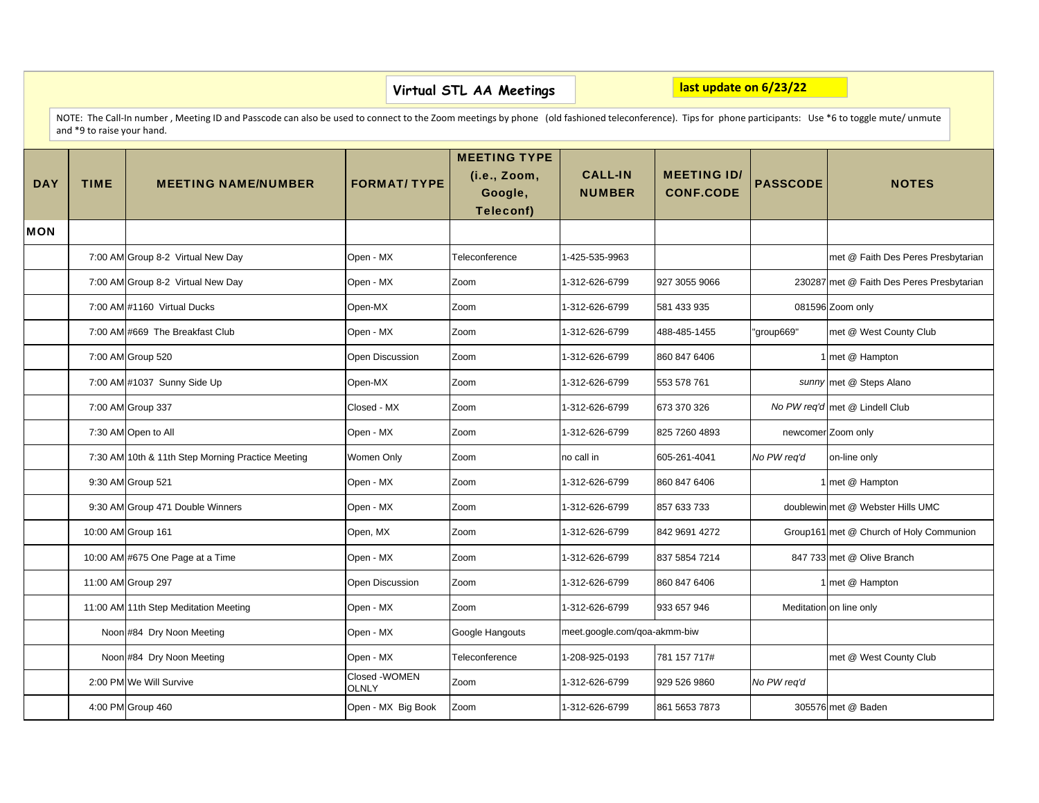|            | last update on 6/23/22<br>Virtual STL AA Meetings                                                                                                                                                                                   |                                                   |                                |                                                             |                                 |                                        |                 |                                           |  |  |  |  |  |
|------------|-------------------------------------------------------------------------------------------------------------------------------------------------------------------------------------------------------------------------------------|---------------------------------------------------|--------------------------------|-------------------------------------------------------------|---------------------------------|----------------------------------------|-----------------|-------------------------------------------|--|--|--|--|--|
|            | NOTE: The Call-In number, Meeting ID and Passcode can also be used to connect to the Zoom meetings by phone (old fashioned teleconference). Tips for phone participants: Use *6 to toggle mute/unmute<br>and *9 to raise your hand. |                                                   |                                |                                                             |                                 |                                        |                 |                                           |  |  |  |  |  |
| <b>DAY</b> | <b>TIME</b>                                                                                                                                                                                                                         | <b>MEETING NAME/NUMBER</b>                        | <b>FORMAT/ TYPE</b>            | <b>MEETING TYPE</b><br>(i.e., Zoom,<br>Google,<br>Teleconf) | <b>CALL-IN</b><br><b>NUMBER</b> | <b>MEETING ID/</b><br><b>CONF.CODE</b> | <b>PASSCODE</b> | <b>NOTES</b>                              |  |  |  |  |  |
| <b>MON</b> |                                                                                                                                                                                                                                     |                                                   |                                |                                                             |                                 |                                        |                 |                                           |  |  |  |  |  |
|            |                                                                                                                                                                                                                                     | 7:00 AM Group 8-2 Virtual New Day                 | Open - MX                      | Teleconference                                              | 1-425-535-9963                  |                                        |                 | met @ Faith Des Peres Presbytarian        |  |  |  |  |  |
|            |                                                                                                                                                                                                                                     | 7:00 AM Group 8-2 Virtual New Day                 | Open - MX                      | Zoom                                                        | 1-312-626-6799                  | 927 3055 9066                          |                 | 230287 met @ Faith Des Peres Presbytarian |  |  |  |  |  |
|            |                                                                                                                                                                                                                                     | 7:00 AM #1160 Virtual Ducks                       | Open-MX                        | Zoom                                                        | 1-312-626-6799                  | 581 433 935                            |                 | 081596 Zoom only                          |  |  |  |  |  |
|            |                                                                                                                                                                                                                                     | 7:00 AM #669 The Breakfast Club                   | Open - MX                      | Zoom                                                        | 1-312-626-6799                  | 488-485-1455                           | "group669"      | met @ West County Club                    |  |  |  |  |  |
|            |                                                                                                                                                                                                                                     | 7:00 AM Group 520                                 | Open Discussion                | Zoom                                                        | 1-312-626-6799                  | 860 847 6406                           |                 | 1 met @ Hampton                           |  |  |  |  |  |
|            |                                                                                                                                                                                                                                     | 7:00 AM #1037 Sunny Side Up                       | Open-MX                        | Zoom                                                        | 1-312-626-6799                  | 553 578 761                            |                 | sunny met @ Steps Alano                   |  |  |  |  |  |
|            |                                                                                                                                                                                                                                     | 7:00 AM Group 337                                 | Closed - MX                    | Zoom                                                        | 1-312-626-6799                  | 673 370 326                            |                 | No PW reg'd met @ Lindell Club            |  |  |  |  |  |
|            |                                                                                                                                                                                                                                     | 7:30 AM Open to All                               | Open - MX                      | Zoom                                                        | 1-312-626-6799                  | 825 7260 4893                          |                 | newcomer Zoom only                        |  |  |  |  |  |
|            |                                                                                                                                                                                                                                     | 7:30 AM 10th & 11th Step Morning Practice Meeting | Women Only                     | Zoom                                                        | no call in                      | 605-261-4041                           | No PW req'd     | on-line only                              |  |  |  |  |  |
|            |                                                                                                                                                                                                                                     | 9:30 AM Group 521                                 | Open - MX                      | Zoom                                                        | 1-312-626-6799                  | 860 847 6406                           |                 | 1 met @ Hampton                           |  |  |  |  |  |
|            |                                                                                                                                                                                                                                     | 9:30 AM Group 471 Double Winners                  | Open - MX                      | Zoom                                                        | 1-312-626-6799                  | 857 633 733                            |                 | doublewin met @ Webster Hills UMC         |  |  |  |  |  |
|            |                                                                                                                                                                                                                                     | 10:00 AM Group 161                                | Open, MX                       | Zoom                                                        | 1-312-626-6799                  | 842 9691 4272                          |                 | Group161 met @ Church of Holy Communion   |  |  |  |  |  |
|            |                                                                                                                                                                                                                                     | 10:00 AM #675 One Page at a Time                  | Open - MX                      | Zoom                                                        | 1-312-626-6799                  | 837 5854 7214                          |                 | 847 733 met @ Olive Branch                |  |  |  |  |  |
|            |                                                                                                                                                                                                                                     | 11:00 AM Group 297                                | Open Discussion                | Zoom                                                        | 1-312-626-6799                  | 860 847 6406                           |                 | 1 met @ Hampton                           |  |  |  |  |  |
|            |                                                                                                                                                                                                                                     | 11:00 AM 11th Step Meditation Meeting             | Open - MX                      | Zoom                                                        | 1-312-626-6799                  | 933 657 946                            |                 | Meditation on line only                   |  |  |  |  |  |
|            |                                                                                                                                                                                                                                     | Noon #84 Dry Noon Meeting                         | Open - MX                      | Google Hangouts                                             | meet.google.com/qoa-akmm-biw    |                                        |                 |                                           |  |  |  |  |  |
|            |                                                                                                                                                                                                                                     | Noon #84 Dry Noon Meeting                         | Open - MX                      | Teleconference                                              | 1-208-925-0193                  | 781 157 717#                           |                 | met @ West County Club                    |  |  |  |  |  |
|            |                                                                                                                                                                                                                                     | 2:00 PM We Will Survive                           | Closed - WOMEN<br><b>OLNLY</b> | Zoom                                                        | 1-312-626-6799                  | 929 526 9860                           | No PW reg'd     |                                           |  |  |  |  |  |
|            |                                                                                                                                                                                                                                     | 4:00 PM Group 460                                 | Open - MX Big Book             | Zoom                                                        | 1-312-626-6799                  | 861 5653 7873                          |                 | 305576 met @ Baden                        |  |  |  |  |  |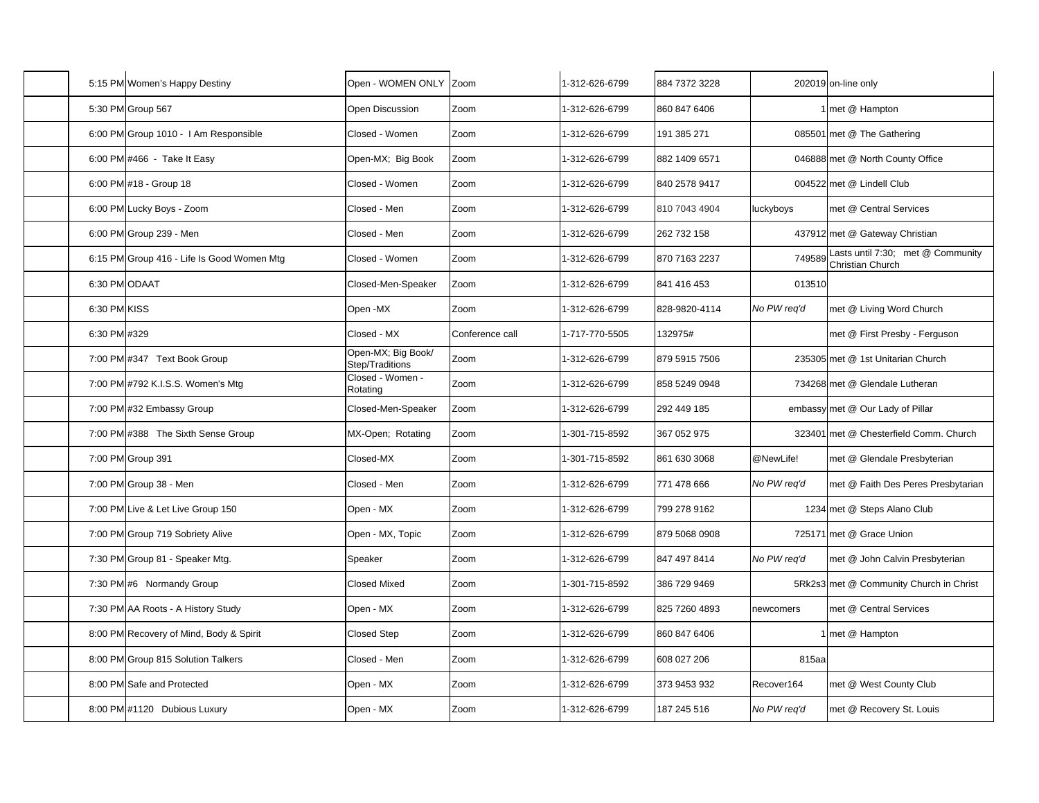|              | 5:15 PM Women's Happy Destiny              | Open - WOMEN ONLY Zoom                |                 | 1-312-626-6799 | 884 7372 3228 |             | 202019 on-line only                                   |
|--------------|--------------------------------------------|---------------------------------------|-----------------|----------------|---------------|-------------|-------------------------------------------------------|
|              | 5:30 PM Group 567                          | Open Discussion                       | Zoom            | 1-312-626-6799 | 860 847 6406  |             | 1 met @ Hampton                                       |
|              | 6:00 PM Group 1010 - I Am Responsible      | Closed - Women                        | Zoom            | 1-312-626-6799 | 191 385 271   |             | 085501 met @ The Gathering                            |
|              | 6:00 PM #466 - Take It Easy                | Open-MX; Big Book                     | Zoom            | 1-312-626-6799 | 882 1409 6571 |             | 046888 met @ North County Office                      |
|              | 6:00 PM #18 - Group 18                     | Closed - Women                        | Zoom            | 1-312-626-6799 | 840 2578 9417 |             | 004522 met @ Lindell Club                             |
|              | 6:00 PM Lucky Boys - Zoom                  | Closed - Men                          | Zoom            | 1-312-626-6799 | 810 7043 4904 | luckyboys   | met @ Central Services                                |
|              | 6:00 PM Group 239 - Men                    | Closed - Men                          | Zoom            | 1-312-626-6799 | 262 732 158   |             | 437912 met @ Gateway Christian                        |
|              | 6:15 PM Group 416 - Life Is Good Women Mtg | Closed - Women                        | Zoom            | 1-312-626-6799 | 870 7163 2237 | 749589      | Lasts until 7:30; met @ Community<br>Christian Church |
|              | 6:30 PM ODAAT                              | Closed-Men-Speaker                    | Zoom            | 1-312-626-6799 | 841 416 453   | 013510      |                                                       |
| 6:30 PM KISS |                                            | Open-MX                               | Zoom            | 1-312-626-6799 | 828-9820-4114 | No PW req'd | met @ Living Word Church                              |
| 6:30 PM #329 |                                            | Closed - MX                           | Conference call | 1-717-770-5505 | 132975#       |             | met @ First Presby - Ferguson                         |
|              | 7:00 PM #347 Text Book Group               | Open-MX; Big Book/<br>Step/Traditions | Zoom            | 1-312-626-6799 | 879 5915 7506 |             | 235305 met @ 1st Unitarian Church                     |
|              | 7:00 PM #792 K.I.S.S. Women's Mtg          | Closed - Women -<br>Rotating          | Zoom            | 1-312-626-6799 | 858 5249 0948 |             | 734268 met @ Glendale Lutheran                        |
|              | 7:00 PM #32 Embassy Group                  | Closed-Men-Speaker                    | Zoom            | 1-312-626-6799 | 292 449 185   |             | embassy met @ Our Lady of Pillar                      |
|              | 7:00 PM #388 The Sixth Sense Group         | MX-Open; Rotating                     | Zoom            | 1-301-715-8592 | 367 052 975   |             | 323401 met @ Chesterfield Comm. Church                |
|              | 7:00 PM Group 391                          | Closed-MX                             | Zoom            | 1-301-715-8592 | 861 630 3068  | @NewLife!   | met @ Glendale Presbyterian                           |
|              | 7:00 PM Group 38 - Men                     | Closed - Men                          | Zoom            | 1-312-626-6799 | 771 478 666   | No PW req'd | met @ Faith Des Peres Presbytarian                    |
|              | 7:00 PM Live & Let Live Group 150          | Open - MX                             | Zoom            | 1-312-626-6799 | 799 278 9162  |             | 1234 met @ Steps Alano Club                           |
|              | 7:00 PM Group 719 Sobriety Alive           | Open - MX, Topic                      | Zoom            | 1-312-626-6799 | 879 5068 0908 |             | 725171 met @ Grace Union                              |
|              | 7:30 PM Group 81 - Speaker Mtg.            | Speaker                               | Zoom            | 1-312-626-6799 | 847 497 8414  | No PW req'd | met @ John Calvin Presbyterian                        |
|              | 7:30 PM #6 Normandy Group                  | <b>Closed Mixed</b>                   | Zoom            | 1-301-715-8592 | 386 729 9469  |             | 5Rk2s3 met @ Community Church in Christ               |
|              | 7:30 PM AA Roots - A History Study         | Open - MX                             | Zoom            | 1-312-626-6799 | 825 7260 4893 | newcomers   | met @ Central Services                                |
|              | 8:00 PM Recovery of Mind, Body & Spirit    | <b>Closed Step</b>                    | Zoom            | 1-312-626-6799 | 860 847 6406  |             | 1 met @ Hampton                                       |
|              | 8:00 PM Group 815 Solution Talkers         | Closed - Men                          | Zoom            | 1-312-626-6799 | 608 027 206   | 815aa       |                                                       |
|              | 8:00 PM Safe and Protected                 | Open - MX                             | Zoom            | 1-312-626-6799 | 373 9453 932  | Recover164  | met @ West County Club                                |
|              | 8:00 PM #1120 Dubious Luxury               | Open - MX                             | Zoom            | 1-312-626-6799 | 187 245 516   | No PW reg'd | met @ Recovery St. Louis                              |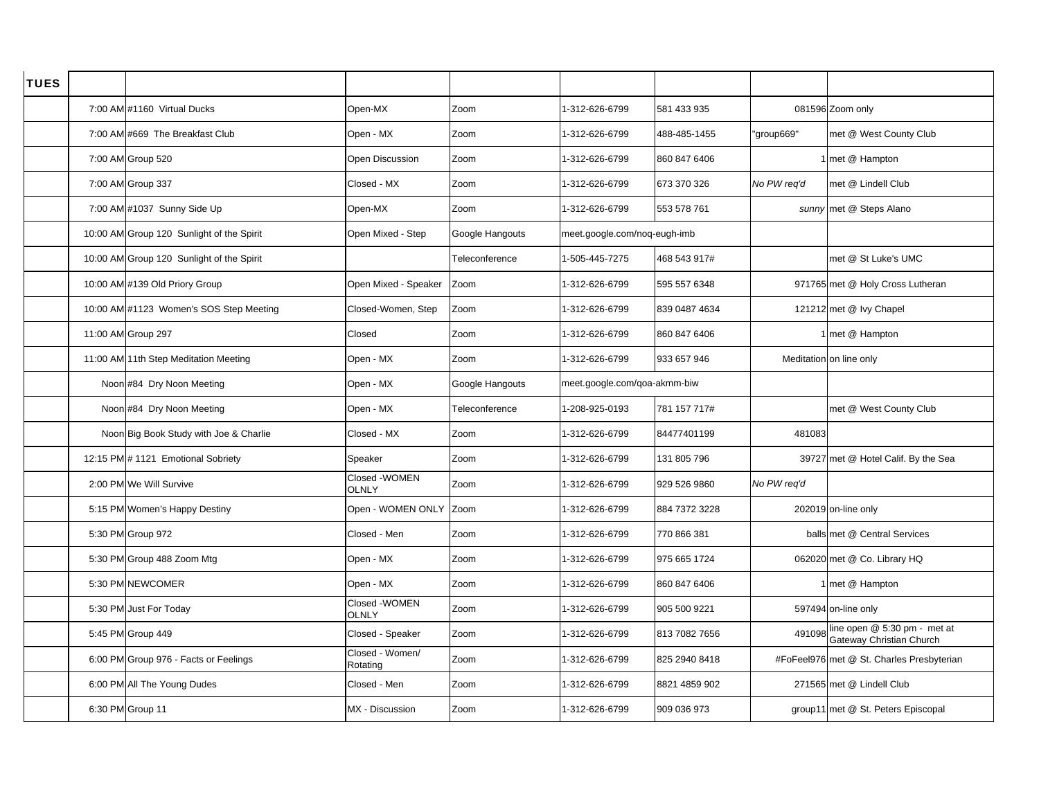| <b>TUES</b> |                                           |                                |                 |                              |               |             |                                                                 |
|-------------|-------------------------------------------|--------------------------------|-----------------|------------------------------|---------------|-------------|-----------------------------------------------------------------|
|             | 7:00 AM #1160 Virtual Ducks               | Open-MX                        | Zoom            | 1-312-626-6799               | 581 433 935   |             | 081596 Zoom only                                                |
|             | 7:00 AM #669 The Breakfast Club           | Open - MX                      | Zoom            | -312-626-6799                | 488-485-1455  | "group669"  | met @ West County Club                                          |
|             | 7:00 AM Group 520                         | <b>Open Discussion</b>         | Zoom            | -312-626-6799                | 860 847 6406  |             | 1 met @ Hampton                                                 |
|             | 7:00 AM Group 337                         | Closed - MX                    | Zoom            | -312-626-6799                | 673 370 326   | No PW req'd | met @ Lindell Club                                              |
|             | 7:00 AM #1037 Sunny Side Up               | Open-MX                        | Zoom            | 1-312-626-6799               | 553 578 761   |             | sunny met @ Steps Alano                                         |
|             | 10:00 AM Group 120 Sunlight of the Spirit | Open Mixed - Step              | Google Hangouts | meet.google.com/noq-eugh-imb |               |             |                                                                 |
|             | 10:00 AM Group 120 Sunlight of the Spirit |                                | Teleconference  | 1-505-445-7275               | 468 543 917#  |             | met @ St Luke's UMC                                             |
|             | 10:00 AM #139 Old Priory Group            | Open Mixed - Speaker           | Zoom            | -312-626-6799                | 595 557 6348  |             | 971765 met @ Holy Cross Lutheran                                |
|             | 10:00 AM #1123 Women's SOS Step Meeting   | Closed-Women, Step             | Zoom            | -312-626-6799                | 839 0487 4634 |             | 121212 met @ Ivy Chapel                                         |
|             | 11:00 AM Group 297                        | Closed                         | Zoom            | -312-626-6799                | 860 847 6406  |             | 1 met @ Hampton                                                 |
|             | 11:00 AM 11th Step Meditation Meeting     | Open - MX                      | Zoom            | 1-312-626-6799               | 933 657 946   |             | Meditation on line only                                         |
|             | Noon #84 Dry Noon Meeting                 | Open - MX                      | Google Hangouts | meet.google.com/goa-akmm-biw |               |             |                                                                 |
|             | Noon #84 Dry Noon Meeting                 | Open - MX                      | Teleconference  | -208-925-0193                | 781 157 717#  |             | met @ West County Club                                          |
|             | Noon Big Book Study with Joe & Charlie    | Closed - MX                    | Zoom            | -312-626-6799                | 84477401199   | 481083      |                                                                 |
|             | 12:15 PM # 1121 Emotional Sobriety        | Speaker                        | Zoom            | -312-626-6799                | 131 805 796   |             | 39727 met @ Hotel Calif. By the Sea                             |
|             | 2:00 PM We Will Survive                   | Closed - WOMEN<br><b>OLNLY</b> | Zoom            | -312-626-6799                | 929 526 9860  | No PW req'd |                                                                 |
|             | 5:15 PM Women's Happy Destiny             | Open - WOMEN ONLY Zoom         |                 | -312-626-6799                | 884 7372 3228 |             | 202019 on-line only                                             |
|             | 5:30 PM Group 972                         | Closed - Men                   | Zoom            | -312-626-6799                | 770 866 381   |             | balls met @ Central Services                                    |
|             | 5:30 PM Group 488 Zoom Mtg                | Open - MX                      | Zoom            | -312-626-6799                | 975 665 1724  |             | 062020 met @ Co. Library HQ                                     |
|             | 5:30 PM NEWCOMER                          | Open - MX                      | Zoom            | -312-626-6799                | 860 847 6406  |             | 1 met @ Hampton                                                 |
|             | 5:30 PM Just For Today                    | Closed - WOMEN<br><b>OLNLY</b> | Zoom            | -312-626-6799                | 905 500 9221  |             | 597494 on-line only                                             |
|             | 5:45 PM Group 449                         | Closed - Speaker               | Zoom            | -312-626-6799                | 813 7082 7656 | 491098      | line open @ 5:30 pm - met at<br><b>Gateway Christian Church</b> |
|             | 6:00 PM Group 976 - Facts or Feelings     | Closed - Women/<br>Rotating    | Zoom            | 1-312-626-6799               | 825 2940 8418 |             | #FoFeel976 met @ St. Charles Presbyterian                       |
|             | 6:00 PM All The Young Dudes               | Closed - Men                   | Zoom            | -312-626-6799                | 8821 4859 902 |             | 271565 met @ Lindell Club                                       |
|             | 6:30 PM Group 11                          | MX - Discussion                | Zoom            | -312-626-6799                | 909 036 973   |             | group11 met @ St. Peters Episcopal                              |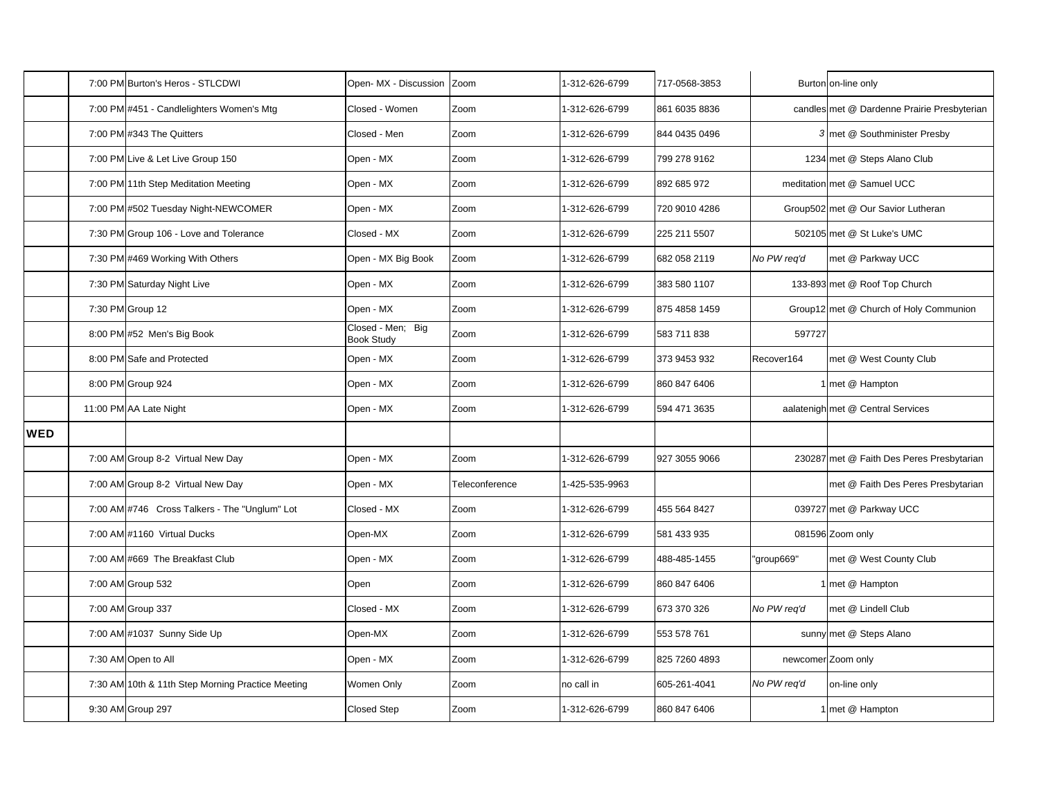|            | 7:00 PM Burton's Heros - STLCDWI                  | Open-MX - Discussion                   | Zoom           | 1-312-626-6799 | 717-0568-3853 |             | Burton on-line only                         |
|------------|---------------------------------------------------|----------------------------------------|----------------|----------------|---------------|-------------|---------------------------------------------|
|            | 7:00 PM #451 - Candlelighters Women's Mtg         | Closed - Women                         | Zoom           | 1-312-626-6799 | 861 6035 8836 |             | candles met @ Dardenne Prairie Presbyterian |
|            | 7:00 PM #343 The Quitters                         | Closed - Men                           | Zoom           | 1-312-626-6799 | 844 0435 0496 |             | 3 met @ Southminister Presby                |
|            | 7:00 PM Live & Let Live Group 150                 | Open - MX                              | Zoom           | 1-312-626-6799 | 799 278 9162  |             | 1234 met @ Steps Alano Club                 |
|            | 7:00 PM 11th Step Meditation Meeting              | Open - MX                              | Zoom           | 1-312-626-6799 | 892 685 972   |             | meditation met @ Samuel UCC                 |
|            | 7:00 PM #502 Tuesday Night-NEWCOMER               | Open - MX                              | Zoom           | 1-312-626-6799 | 720 9010 4286 |             | Group502 met @ Our Savior Lutheran          |
|            | 7:30 PM Group 106 - Love and Tolerance            | Closed - MX                            | Zoom           | 1-312-626-6799 | 225 211 5507  |             | 502105 met @ St Luke's UMC                  |
|            | 7:30 PM #469 Working With Others                  | Open - MX Big Book                     | Zoom           | 1-312-626-6799 | 682 058 2119  | No PW req'd | met @ Parkway UCC                           |
|            | 7:30 PM Saturday Night Live                       | Open - MX                              | Zoom           | 1-312-626-6799 | 383 580 1107  |             | 133-893 met @ Roof Top Church               |
|            | 7:30 PM Group 12                                  | Open - MX                              | Zoom           | 1-312-626-6799 | 875 4858 1459 |             | Group12 met @ Church of Holy Communion      |
|            | 8:00 PM #52 Men's Big Book                        | Closed - Men; Big<br><b>Book Study</b> | Zoom           | 1-312-626-6799 | 583 711 838   | 597727      |                                             |
|            | 8:00 PM Safe and Protected                        | Open - MX                              | Zoom           | 1-312-626-6799 | 373 9453 932  | Recover164  | met @ West County Club                      |
|            | 8:00 PM Group 924                                 | Open - MX                              | Zoom           | 1-312-626-6799 | 860 847 6406  |             | 1 met @ Hampton                             |
|            | 11:00 PM AA Late Night                            | Open - MX                              | Zoom           | 1-312-626-6799 | 594 471 3635  |             | aalatenigh met @ Central Services           |
| <b>WED</b> |                                                   |                                        |                |                |               |             |                                             |
|            | 7:00 AM Group 8-2 Virtual New Day                 | Open - MX                              | Zoom           | 1-312-626-6799 | 927 3055 9066 |             | 230287 met @ Faith Des Peres Presbytarian   |
|            | 7:00 AM Group 8-2 Virtual New Day                 | Open - MX                              | Teleconference | -425-535-9963  |               |             | met @ Faith Des Peres Presbytarian          |
|            | 7:00 AM #746 Cross Talkers - The "Unglum" Lot     | Closed - MX                            | Zoom           | 1-312-626-6799 | 455 564 8427  |             | 039727 met @ Parkway UCC                    |
|            | 7:00 AM #1160 Virtual Ducks                       | Open-MX                                | Zoom           | 1-312-626-6799 | 581 433 935   |             | 081596 Zoom only                            |
|            | 7:00 AM #669 The Breakfast Club                   | Open - MX                              | Zoom           | 1-312-626-6799 | 488-485-1455  | "group669"  | met @ West County Club                      |
|            | 7:00 AM Group 532                                 | Open                                   | Zoom           | 1-312-626-6799 | 860 847 6406  |             | 1 met @ Hampton                             |
|            | 7:00 AM Group 337                                 | Closed - MX                            | Zoom           | 1-312-626-6799 | 673 370 326   | No PW req'd | met @ Lindell Club                          |
|            | 7:00 AM #1037 Sunny Side Up                       | Open-MX                                | Zoom           | 1-312-626-6799 | 553 578 761   |             | sunny met @ Steps Alano                     |
|            | 7:30 AM Open to All                               | Open - MX                              | Zoom           | 1-312-626-6799 | 825 7260 4893 |             | newcomer Zoom only                          |
|            | 7:30 AM 10th & 11th Step Morning Practice Meeting | Women Only                             | Zoom           | no call in     | 605-261-4041  | No PW req'd | on-line only                                |
|            | 9:30 AM Group 297                                 | <b>Closed Step</b>                     | Zoom           | 1-312-626-6799 | 860 847 6406  |             | 1 met @ Hampton                             |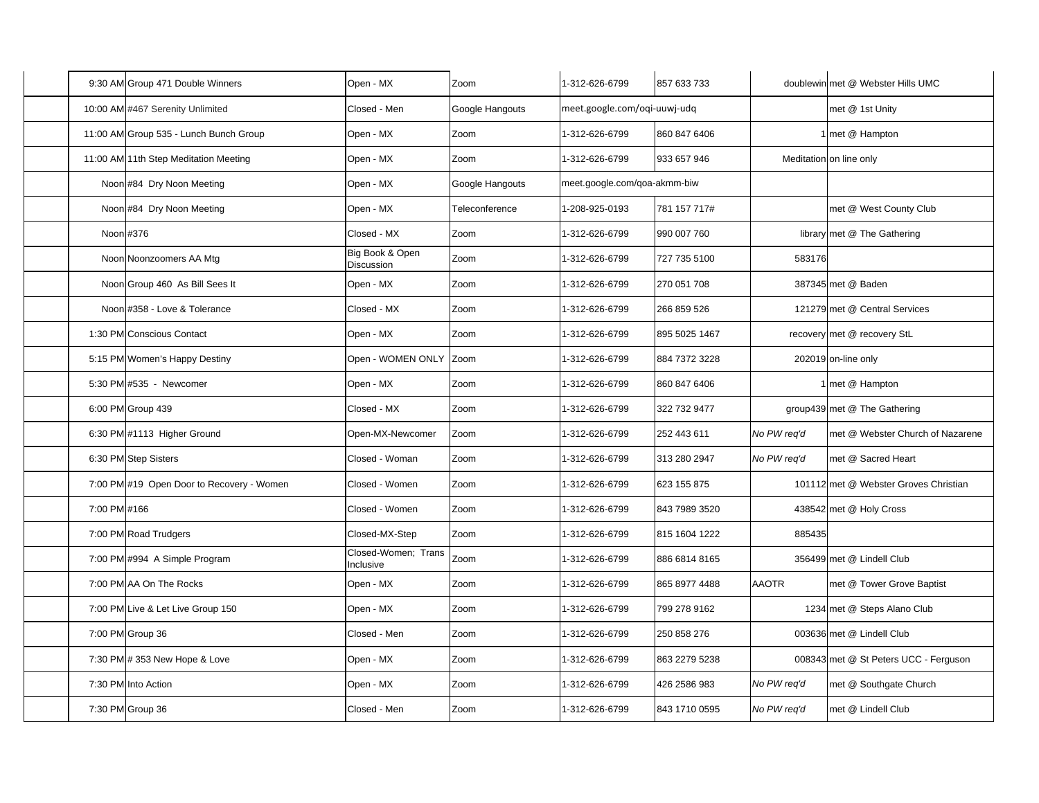|              | 9:30 AM Group 471 Double Winners          | Open - MX                        | Zoom            | 1-312-626-6799               | 857 633 733   |              | doublewin met @ Webster Hills UMC     |
|--------------|-------------------------------------------|----------------------------------|-----------------|------------------------------|---------------|--------------|---------------------------------------|
|              | 10:00 AM #467 Serenity Unlimited          | Closed - Men                     | Google Hangouts | meet.google.com/oqi-uuwj-udq |               |              | met @ 1st Unity                       |
|              | 11:00 AM Group 535 - Lunch Bunch Group    | Open - MX                        | Zoom            | 1-312-626-6799               | 860 847 6406  |              | 1 met @ Hampton                       |
|              | 11:00 AM 11th Step Meditation Meeting     | Open - MX                        | Zoom            | 1-312-626-6799               | 933 657 946   |              | Meditation on line only               |
|              | Noon #84 Dry Noon Meeting                 | Open - MX                        | Google Hangouts | meet.google.com/qoa-akmm-biw |               |              |                                       |
|              | Noon #84 Dry Noon Meeting                 | Open - MX                        | Teleconference  | 1-208-925-0193               | 781 157 717#  |              | met @ West County Club                |
|              | Noon #376                                 | Closed - MX                      | Zoom            | 1-312-626-6799               | 990 007 760   |              | library met @ The Gathering           |
|              | Noon Noonzoomers AA Mtg                   | Big Book & Open<br>Discussion    | Zoom            | 1-312-626-6799               | 727 735 5100  | 583176       |                                       |
|              | Noon Group 460 As Bill Sees It            | Open - MX                        | Zoom            | 1-312-626-6799               | 270 051 708   |              | 387345 met @ Baden                    |
|              | Noon #358 - Love & Tolerance              | Closed - MX                      | Zoom            | 1-312-626-6799               | 266 859 526   |              | 121279 met @ Central Services         |
|              | 1:30 PM Conscious Contact                 | Open - MX                        | Zoom            | 1-312-626-6799               | 895 5025 1467 |              | recovery met @ recovery StL           |
|              | 5:15 PM Women's Happy Destiny             | Open - WOMEN ONLY Zoom           |                 | 1-312-626-6799               | 884 7372 3228 |              | 202019 on-line only                   |
|              | 5:30 PM #535 - Newcomer                   | Open - MX                        | Zoom            | 1-312-626-6799               | 860 847 6406  |              | 1 met @ Hampton                       |
|              | 6:00 PM Group 439                         | Closed - MX                      | Zoom            | 1-312-626-6799               | 322 732 9477  |              | group439 met @ The Gathering          |
|              | 6:30 PM #1113 Higher Ground               | Open-MX-Newcomer                 | Zoom            | 1-312-626-6799               | 252 443 611   | No PW req'd  | met @ Webster Church of Nazarene      |
|              | 6:30 PM Step Sisters                      | Closed - Woman                   | Zoom            | 1-312-626-6799               | 313 280 2947  | No PW req'd  | met @ Sacred Heart                    |
|              | 7:00 PM #19 Open Door to Recovery - Women | Closed - Women                   | Zoom            | 1-312-626-6799               | 623 155 875   |              | 101112 met @ Webster Groves Christian |
| 7:00 PM #166 |                                           | Closed - Women                   | Zoom            | 1-312-626-6799               | 843 7989 3520 |              | 438542 met @ Holy Cross               |
|              | 7:00 PM Road Trudgers                     | Closed-MX-Step                   | Zoom            | 1-312-626-6799               | 815 1604 1222 | 885435       |                                       |
|              | 7:00 PM #994 A Simple Program             | Closed-Women; Trans<br>Inclusive | Zoom            | 1-312-626-6799               | 886 6814 8165 |              | 356499 met @ Lindell Club             |
|              | 7:00 PM AA On The Rocks                   | Open - MX                        | Zoom            | 1-312-626-6799               | 865 8977 4488 | <b>AAOTR</b> | met @ Tower Grove Baptist             |
|              | 7:00 PM Live & Let Live Group 150         | Open - MX                        | Zoom            | 1-312-626-6799               | 799 278 9162  |              | 1234 met @ Steps Alano Club           |
|              | 7:00 PM Group 36                          | Closed - Men                     | Zoom            | 1-312-626-6799               | 250 858 276   |              | 003636 met @ Lindell Club             |
|              | 7:30 PM # 353 New Hope & Love             | Open - MX                        | Zoom            | 1-312-626-6799               | 863 2279 5238 |              | 008343 met @ St Peters UCC - Ferguson |
|              | 7:30 PM Into Action                       | Open - MX                        | Zoom            | 1-312-626-6799               | 426 2586 983  | No PW req'd  | met @ Southgate Church                |
|              | 7:30 PM Group 36                          | Closed - Men                     | Zoom            | 1-312-626-6799               | 843 1710 0595 | No PW reg'd  | met @ Lindell Club                    |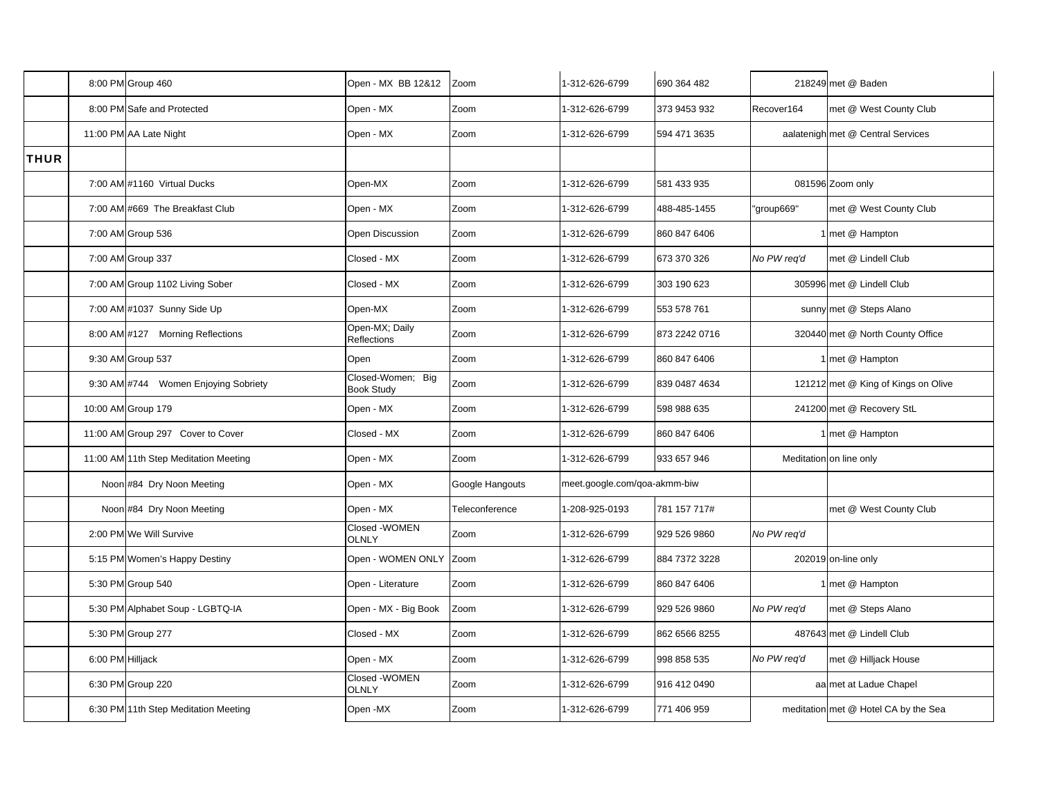|             |                  | 8:00 PM Group 460                     | Open - MX BB 12&12                     | Zoom            | 1-312-626-6799               | 690 364 482   |             | 218249 met @ Baden                   |
|-------------|------------------|---------------------------------------|----------------------------------------|-----------------|------------------------------|---------------|-------------|--------------------------------------|
|             |                  | 8:00 PM Safe and Protected            | Open - MX                              | Zoom            | 1-312-626-6799               | 373 9453 932  | Recover164  | met @ West County Club               |
|             |                  | 11:00 PM AA Late Night                | Open - MX                              | Zoom            | 1-312-626-6799               | 594 471 3635  |             | aalatenigh met @ Central Services    |
| <b>THUR</b> |                  |                                       |                                        |                 |                              |               |             |                                      |
|             |                  | 7:00 AM #1160 Virtual Ducks           | Open-MX                                | Zoom            | 1-312-626-6799               | 581 433 935   |             | 081596 Zoom only                     |
|             |                  | 7:00 AM #669 The Breakfast Club       | Open - MX                              | Zoom            | 1-312-626-6799               | 488-485-1455  | "group669"  | met @ West County Club               |
|             |                  | 7:00 AM Group 536                     | Open Discussion                        | Zoom            | 1-312-626-6799               | 860 847 6406  |             | 1 met @ Hampton                      |
|             |                  | 7:00 AM Group 337                     | Closed - MX                            | Zoom            | 1-312-626-6799               | 673 370 326   | No PW req'd | met @ Lindell Club                   |
|             |                  | 7:00 AM Group 1102 Living Sober       | Closed - MX                            | Zoom            | 1-312-626-6799               | 303 190 623   |             | 305996 met @ Lindell Club            |
|             |                  | 7:00 AM #1037 Sunny Side Up           | Open-MX                                | Zoom            | 1-312-626-6799               | 553 578 761   |             | sunny met @ Steps Alano              |
|             |                  | 8:00 AM #127 Morning Reflections      | Open-MX; Daily<br>Reflections          | Zoom            | 1-312-626-6799               | 873 2242 0716 |             | 320440 met @ North County Office     |
|             |                  | 9:30 AM Group 537                     | Open                                   | Zoom            | 1-312-626-6799               | 860 847 6406  |             | 1 met @ Hampton                      |
|             |                  | 9:30 AM #744 Women Enjoying Sobriety  | Closed-Women; Big<br><b>Book Study</b> | Zoom            | 1-312-626-6799               | 839 0487 4634 |             | 121212 met @ King of Kings on Olive  |
|             |                  | 10:00 AM Group 179                    | Open - MX                              | Zoom            | 1-312-626-6799               | 598 988 635   |             | 241200 met @ Recovery StL            |
|             |                  | 11:00 AM Group 297 Cover to Cover     | Closed - MX                            | Zoom            | 1-312-626-6799               | 860 847 6406  |             | 1 met @ Hampton                      |
|             |                  | 11:00 AM 11th Step Meditation Meeting | Open - MX                              | Zoom            | 1-312-626-6799               | 933 657 946   |             | Meditation on line only              |
|             |                  | Noon #84 Dry Noon Meeting             | Open - MX                              | Google Hangouts | meet.google.com/goa-akmm-biw |               |             |                                      |
|             |                  | Noon #84 Dry Noon Meeting             | Open - MX                              | Teleconference  | 1-208-925-0193               | 781 157 717#  |             | met @ West County Club               |
|             |                  | 2:00 PM We Will Survive               | Closed - WOMEN<br><b>OLNLY</b>         | Zoom            | 1-312-626-6799               | 929 526 9860  | No PW req'd |                                      |
|             |                  | 5:15 PM Women's Happy Destiny         | Open - WOMEN ONLY                      | Zoom            | 1-312-626-6799               | 884 7372 3228 |             | 202019 on-line only                  |
|             |                  | 5:30 PM Group 540                     | Open - Literature                      | Zoom            | 1-312-626-6799               | 860 847 6406  |             | 1 met @ Hampton                      |
|             |                  | 5:30 PM Alphabet Soup - LGBTQ-IA      | Open - MX - Big Book                   | Zoom            | 1-312-626-6799               | 929 526 9860  | No PW req'd | met @ Steps Alano                    |
|             |                  | 5:30 PM Group 277                     | Closed - MX                            | Zoom            | 1-312-626-6799               | 862 6566 8255 |             | 487643 met @ Lindell Club            |
|             | 6:00 PM Hilljack |                                       | Open - MX                              | Zoom            | 1-312-626-6799               | 998 858 535   | No PW req'd | met @ Hilljack House                 |
|             |                  | 6:30 PM Group 220                     | Closed - WOMEN<br><b>OLNLY</b>         | Zoom            | 1-312-626-6799               | 916 412 0490  |             | aa met at Ladue Chapel               |
|             |                  | 6:30 PM 11th Step Meditation Meeting  | Open-MX                                | Zoom            | 1-312-626-6799               | 771 406 959   |             | meditation met @ Hotel CA by the Sea |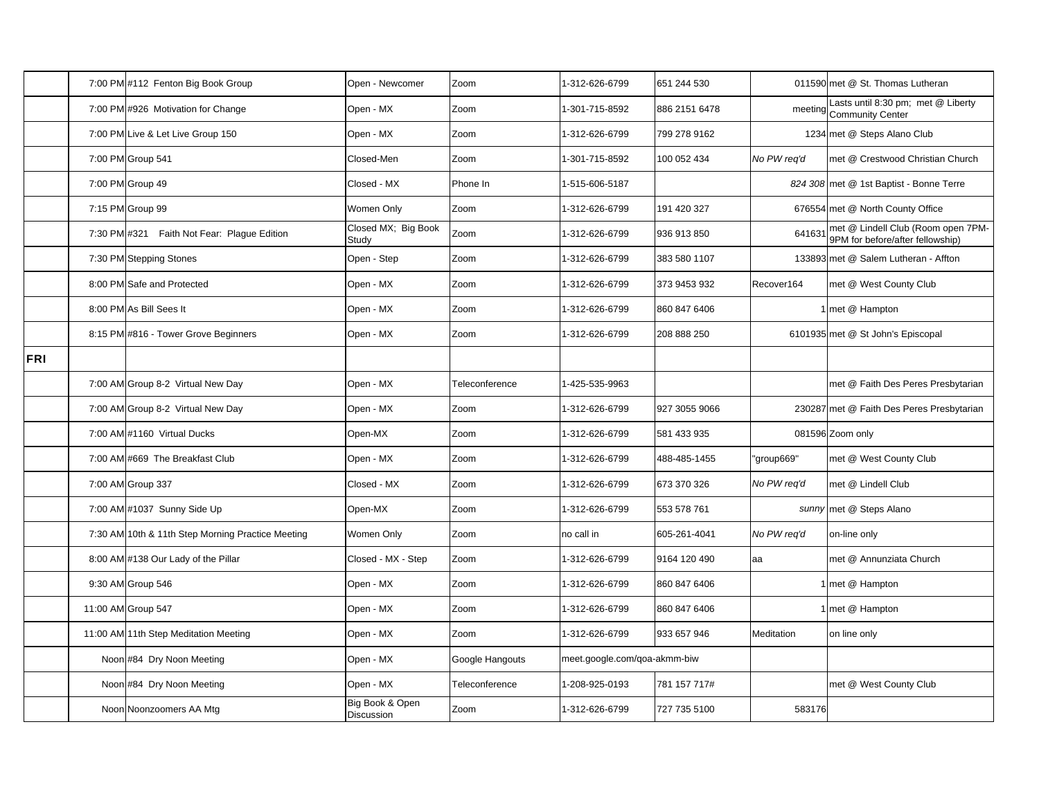|     | 7:00 PM #112 Fenton Big Book Group                | Open - Newcomer                      | Zoom            | 1-312-626-6799               | 651 244 530   |             | 011590 met @ St. Thomas Lutheran                                       |
|-----|---------------------------------------------------|--------------------------------------|-----------------|------------------------------|---------------|-------------|------------------------------------------------------------------------|
|     | 7:00 PM #926 Motivation for Change                | Open - MX                            | Zoom            | 1-301-715-8592               | 886 2151 6478 |             | Lasts until 8:30 pm; met @ Liberty<br>meeting Community Center         |
|     | 7:00 PM Live & Let Live Group 150                 | Open - MX                            | Zoom            | 1-312-626-6799               | 799 278 9162  |             | 1234 met @ Steps Alano Club                                            |
|     | 7:00 PM Group 541                                 | Closed-Men                           | Zoom            | 1-301-715-8592               | 100 052 434   | No PW reg'd | met @ Crestwood Christian Church                                       |
|     | 7:00 PM Group 49                                  | Closed - MX                          | Phone In        | 1-515-606-5187               |               |             | 824 308 met @ 1st Baptist - Bonne Terre                                |
|     | 7:15 PM Group 99                                  | Women Only                           | Zoom            | 1-312-626-6799               | 191 420 327   |             | 676554 met @ North County Office                                       |
|     | 7:30 PM #321 Faith Not Fear: Plague Edition       | Closed MX; Big Book<br>Study         | Zoom            | 1-312-626-6799               | 936 913 850   | 641631      | met @ Lindell Club (Room open 7PM-<br>9PM for before/after fellowship) |
|     | 7:30 PM Stepping Stones                           | Open - Step                          | Zoom            | 1-312-626-6799               | 383 580 1107  |             | 133893 met @ Salem Lutheran - Affton                                   |
|     | 8:00 PM Safe and Protected                        | Open - MX                            | Zoom            | 1-312-626-6799               | 373 9453 932  | Recover164  | met @ West County Club                                                 |
|     | 8:00 PM As Bill Sees It                           | Open - MX                            | Zoom            | 1-312-626-6799               | 860 847 6406  |             | 1 met @ Hampton                                                        |
|     | 8:15 PM #816 - Tower Grove Beginners              | Open - MX                            | Zoom            | 1-312-626-6799               | 208 888 250   |             | 6101935 met @ St John's Episcopal                                      |
| FRI |                                                   |                                      |                 |                              |               |             |                                                                        |
|     | 7:00 AM Group 8-2 Virtual New Day                 | Open - MX                            | Teleconference  | 1-425-535-9963               |               |             | met @ Faith Des Peres Presbytarian                                     |
|     | 7:00 AM Group 8-2 Virtual New Day                 | Open - MX                            | Zoom            | 1-312-626-6799               | 927 3055 9066 |             | 230287 met @ Faith Des Peres Presbytarian                              |
|     | 7:00 AM #1160 Virtual Ducks                       | Open-MX                              | Zoom            | 1-312-626-6799               | 581 433 935   |             | 081596 Zoom only                                                       |
|     | 7:00 AM #669 The Breakfast Club                   | Open - MX                            | Zoom            | 1-312-626-6799               | 488-485-1455  | "group669"  | met @ West County Club                                                 |
|     | 7:00 AM Group 337                                 | Closed - MX                          | Zoom            | 1-312-626-6799               | 673 370 326   | No PW req'd | met @ Lindell Club                                                     |
|     | 7:00 AM #1037 Sunny Side Up                       | Open-MX                              | Zoom            | 1-312-626-6799               | 553 578 761   |             | sunny met @ Steps Alano                                                |
|     | 7:30 AM 10th & 11th Step Morning Practice Meeting | Women Only                           | Zoom            | no call in                   | 605-261-4041  | No PW reg'd | on-line only                                                           |
|     | 8:00 AM #138 Our Lady of the Pillar               | Closed - MX - Step                   | Zoom            | 1-312-626-6799               | 9164 120 490  | aa          | met @ Annunziata Church                                                |
|     | 9:30 AM Group 546                                 | Open - MX                            | Zoom            | 1-312-626-6799               | 860 847 6406  |             | 1 met @ Hampton                                                        |
|     | 11:00 AM Group 547                                | Open - MX                            | Zoom            | 1-312-626-6799               | 860 847 6406  |             | 1 met @ Hampton                                                        |
|     | 11:00 AM 11th Step Meditation Meeting             | Open - MX                            | Zoom            | 1-312-626-6799               | 933 657 946   | Meditation  | on line only                                                           |
|     | Noon #84 Dry Noon Meeting                         | Open - MX                            | Google Hangouts | meet.google.com/qoa-akmm-biw |               |             |                                                                        |
|     | Noon #84 Dry Noon Meeting                         | Open - MX                            | Teleconference  | 1-208-925-0193               | 781 157 717#  |             | met @ West County Club                                                 |
|     | Noon Noonzoomers AA Mtg                           | Big Book & Open<br><b>Discussion</b> | Zoom            | 1-312-626-6799               | 727 735 5100  | 583176      |                                                                        |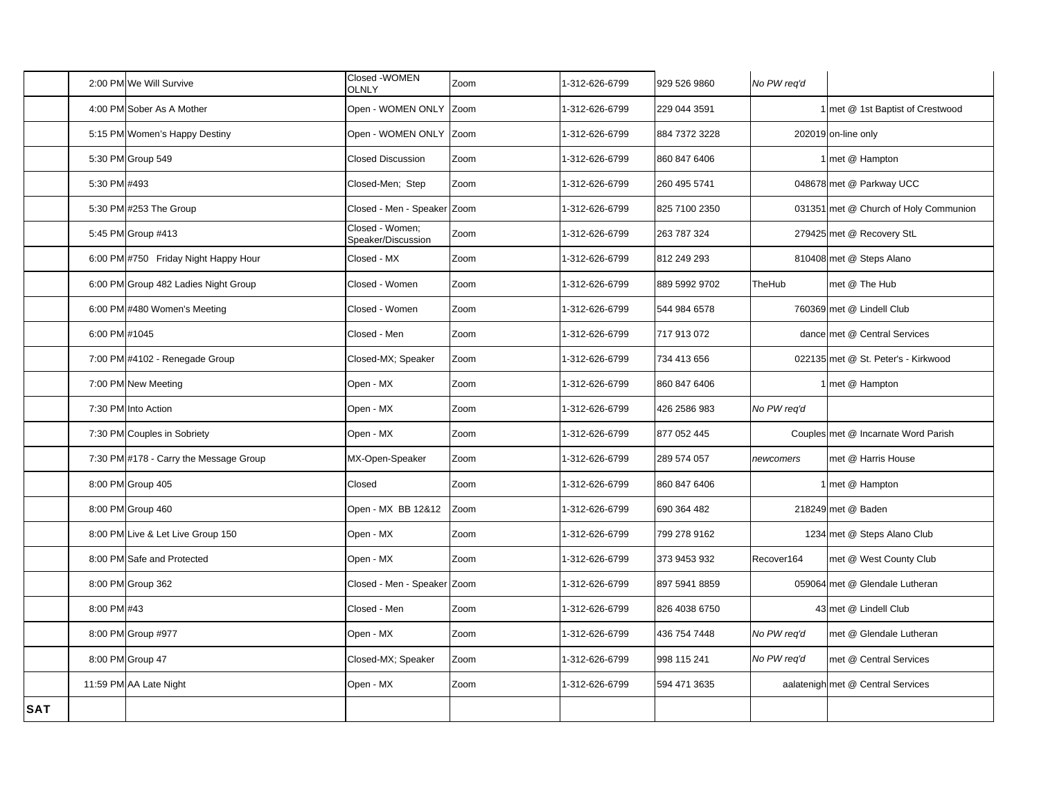|            |               | 2:00 PM We Will Survive                | Closed - WOMEN<br><b>OLNLY</b>        | Zoom | 1-312-626-6799 | 929 526 9860  | No PW req'd |                                       |
|------------|---------------|----------------------------------------|---------------------------------------|------|----------------|---------------|-------------|---------------------------------------|
|            |               | 4:00 PM Sober As A Mother              | Open - WOMEN ONLY Zoom                |      | 1-312-626-6799 | 229 044 3591  |             | 1 met @ 1st Baptist of Crestwood      |
|            |               | 5:15 PM Women's Happy Destiny          | Open - WOMEN ONLY Zoom                |      | 1-312-626-6799 | 884 7372 3228 |             | 202019 on-line only                   |
|            |               | 5:30 PM Group 549                      | <b>Closed Discussion</b>              | Zoom | -312-626-6799  | 860 847 6406  |             | 1 met @ Hampton                       |
|            | 5:30 PM #493  |                                        | Closed-Men: Step                      | Zoom | 1-312-626-6799 | 260 495 5741  |             | 048678 met @ Parkway UCC              |
|            |               | 5:30 PM #253 The Group                 | Closed - Men - Speaker Zoom           |      | 1-312-626-6799 | 825 7100 2350 |             | 031351 met @ Church of Holy Communion |
|            |               | 5:45 PM Group #413                     | Closed - Women;<br>Speaker/Discussion | Zoom | -312-626-6799  | 263 787 324   |             | 279425 met @ Recovery StL             |
|            |               | 6:00 PM #750 Friday Night Happy Hour   | Closed - MX                           | Zoom | 1-312-626-6799 | 812 249 293   |             | 810408 met @ Steps Alano              |
|            |               | 6:00 PM Group 482 Ladies Night Group   | Closed - Women                        | Zoom | 1-312-626-6799 | 889 5992 9702 | TheHub      | met @ The Hub                         |
|            |               | 6:00 PM #480 Women's Meeting           | Closed - Women                        | Zoom | 1-312-626-6799 | 544 984 6578  |             | 760369 met @ Lindell Club             |
|            | 6:00 PM #1045 |                                        | Closed - Men                          | Zoom | 1-312-626-6799 | 717 913 072   |             | dance met @ Central Services          |
|            |               | 7:00 PM #4102 - Renegade Group         | Closed-MX; Speaker                    | Zoom | -312-626-6799  | 734 413 656   |             | 022135 met @ St. Peter's - Kirkwood   |
|            |               | 7:00 PM New Meeting                    | Open - MX                             | Zoom | 1-312-626-6799 | 860 847 6406  |             | 1 met @ Hampton                       |
|            |               | 7:30 PM Into Action                    | Open - MX                             | Zoom | 1-312-626-6799 | 426 2586 983  | No PW req'd |                                       |
|            |               | 7:30 PM Couples in Sobriety            | Open - MX                             | Zoom | 1-312-626-6799 | 877 052 445   |             | Couples met @ Incarnate Word Parish   |
|            |               | 7:30 PM #178 - Carry the Message Group | MX-Open-Speaker                       | Zoom | 1-312-626-6799 | 289 574 057   | newcomers   | met @ Harris House                    |
|            |               | 8:00 PM Group 405                      | Closed                                | Zoom | 1-312-626-6799 | 860 847 6406  |             | 1 met @ Hampton                       |
|            |               | 8:00 PM Group 460                      | Open - MX BB 12&12                    | Zoom | -312-626-6799  | 690 364 482   |             | 218249 met @ Baden                    |
|            |               | 8:00 PM Live & Let Live Group 150      | Open - MX                             | Zoom | 1-312-626-6799 | 799 278 9162  |             | 1234 met @ Steps Alano Club           |
|            |               | 8:00 PM Safe and Protected             | Open - MX                             | Zoom | -312-626-6799  | 373 9453 932  | Recover164  | met @ West County Club                |
|            |               | 8:00 PM Group 362                      | Closed - Men - Speaker                | Zoom | -312-626-6799  | 897 5941 8859 |             | 059064 met @ Glendale Lutheran        |
|            | 8:00 PM #43   |                                        | Closed - Men                          | Zoom | 1-312-626-6799 | 826 4038 6750 |             | 43 met @ Lindell Club                 |
|            |               | 8:00 PM Group #977                     | Open - MX                             | Zoom | 1-312-626-6799 | 436 754 7448  | No PW reg'd | met @ Glendale Lutheran               |
|            |               | 8:00 PM Group 47                       | Closed-MX; Speaker                    | Zoom | 1-312-626-6799 | 998 115 241   | No PW req'd | met @ Central Services                |
|            |               | 11:59 PM AA Late Night                 | Open - MX                             | Zoom | 1-312-626-6799 | 594 471 3635  |             | aalatenigh met @ Central Services     |
| <b>SAT</b> |               |                                        |                                       |      |                |               |             |                                       |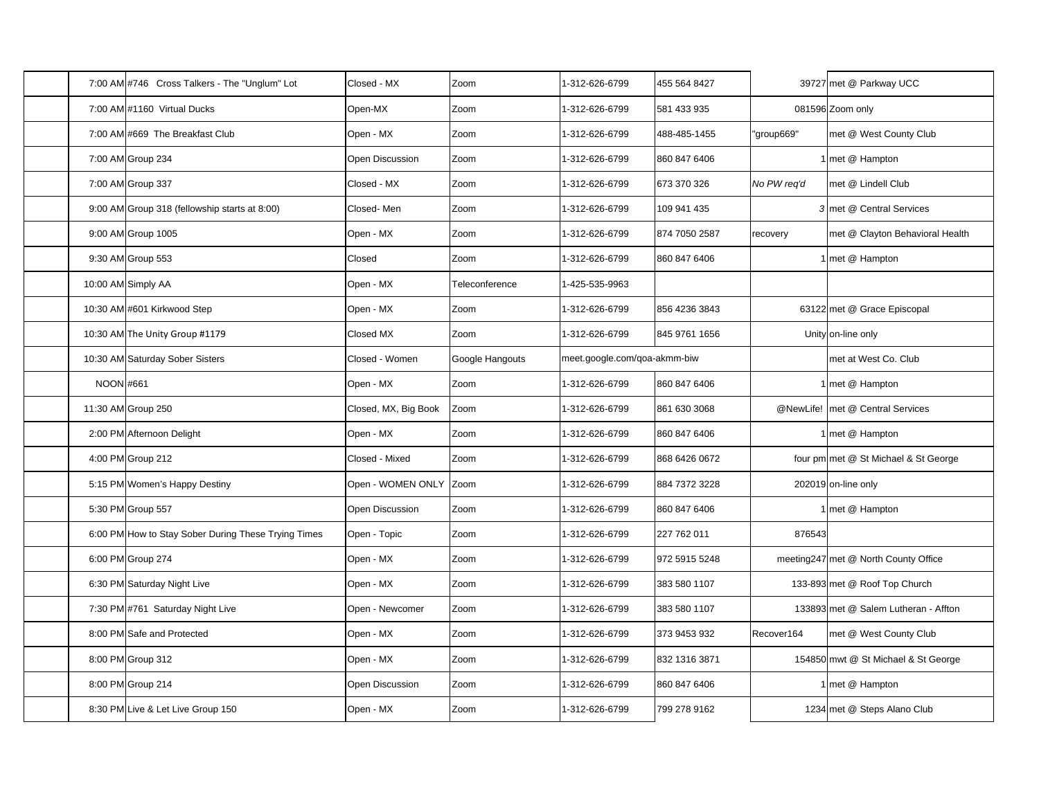|                  | 7:00 AM #746 Cross Talkers - The "Unglum" Lot       | Closed - MX          | Zoom            | 1-312-626-6799               | 455 564 8427  |             | 39727 met @ Parkway UCC              |
|------------------|-----------------------------------------------------|----------------------|-----------------|------------------------------|---------------|-------------|--------------------------------------|
|                  | 7:00 AM #1160 Virtual Ducks                         | Open-MX              | Zoom            | 1-312-626-6799               | 581 433 935   |             | 081596 Zoom only                     |
|                  | 7:00 AM #669 The Breakfast Club                     | Open - MX            | Zoom            | 1-312-626-6799               | 488-485-1455  | "group669"  | met @ West County Club               |
|                  | 7:00 AM Group 234                                   | Open Discussion      | Zoom            | 1-312-626-6799               | 860 847 6406  |             | 1 met @ Hampton                      |
|                  | 7:00 AM Group 337                                   | Closed - MX          | Zoom            | 1-312-626-6799               | 673 370 326   | No PW req'd | met @ Lindell Club                   |
|                  | 9:00 AM Group 318 (fellowship starts at 8:00)       | Closed-Men           | Zoom            | 1-312-626-6799               | 109 941 435   |             | 3 met @ Central Services             |
|                  | 9:00 AM Group 1005                                  | Open - MX            | Zoom            | 1-312-626-6799               | 874 7050 2587 | recovery    | met @ Clayton Behavioral Health      |
|                  | 9:30 AM Group 553                                   | Closed               | Zoom            | 1-312-626-6799               | 860 847 6406  |             | 1 met @ Hampton                      |
|                  | 10:00 AM Simply AA                                  | Open - MX            | Teleconference  | 1-425-535-9963               |               |             |                                      |
|                  | 10:30 AM #601 Kirkwood Step                         | Open - MX            | Zoom            | 1-312-626-6799               | 856 4236 3843 |             | 63122 met @ Grace Episcopal          |
|                  | 10:30 AM The Unity Group #1179                      | Closed MX            | Zoom            | 1-312-626-6799               | 845 9761 1656 |             | Unity on-line only                   |
|                  | 10:30 AM Saturday Sober Sisters                     | Closed - Women       | Google Hangouts | meet.google.com/goa-akmm-biw |               |             | met at West Co. Club                 |
| <b>NOON #661</b> |                                                     | Open - MX            | Zoom            | 1-312-626-6799               | 860 847 6406  |             | 1 met @ Hampton                      |
|                  | 11:30 AM Group 250                                  | Closed, MX, Big Book | Zoom            | 1-312-626-6799               | 861 630 3068  |             | @NewLife! met @ Central Services     |
|                  | 2:00 PM Afternoon Delight                           | Open - MX            | Zoom            | 1-312-626-6799               | 860 847 6406  |             | 1 met @ Hampton                      |
|                  | 4:00 PM Group 212                                   | Closed - Mixed       | Zoom            | 1-312-626-6799               | 868 6426 0672 |             | four pm met @ St Michael & St George |
|                  | 5:15 PM Women's Happy Destiny                       | Open - WOMEN ONLY    | Zoom            | 1-312-626-6799               | 884 7372 3228 |             | 202019 on-line only                  |
|                  | 5:30 PM Group 557                                   | Open Discussion      | Zoom            | 1-312-626-6799               | 860 847 6406  |             | 1 met @ Hampton                      |
|                  | 6:00 PM How to Stay Sober During These Trying Times | Open - Topic         | Zoom            | 1-312-626-6799               | 227 762 011   | 876543      |                                      |
|                  | 6:00 PM Group 274                                   | Open - MX            | Zoom            | 1-312-626-6799               | 972 5915 5248 |             | meeting247 met @ North County Office |
|                  | 6:30 PM Saturday Night Live                         | Open - MX            | Zoom            | 1-312-626-6799               | 383 580 1107  |             | 133-893 met @ Roof Top Church        |
|                  | 7:30 PM #761 Saturday Night Live                    | Open - Newcomer      | Zoom            | 1-312-626-6799               | 383 580 1107  |             | 133893 met @ Salem Lutheran - Affton |
|                  | 8:00 PM Safe and Protected                          | Open - MX            | Zoom            | 1-312-626-6799               | 373 9453 932  | Recover164  | met @ West County Club               |
|                  | 8:00 PM Group 312                                   | Open - MX            | Zoom            | 1-312-626-6799               | 832 1316 3871 |             | 154850 mwt @ St Michael & St George  |
|                  | 8:00 PM Group 214                                   | Open Discussion      | Zoom            | 1-312-626-6799               | 860 847 6406  |             | 1 met @ Hampton                      |
|                  | 8:30 PM Live & Let Live Group 150                   | Open - MX            | Zoom            | 1-312-626-6799               | 799 278 9162  |             | 1234 met @ Steps Alano Club          |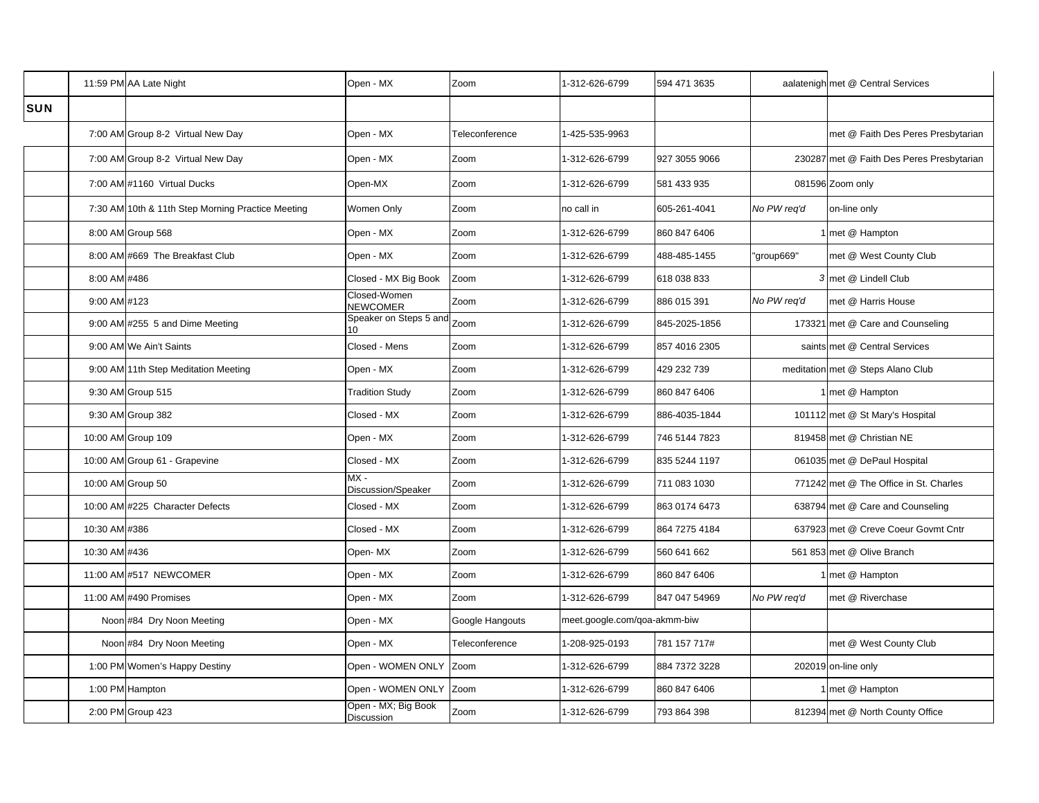|            |               | 11:59 PM AA Late Night                            | Open - MX                         | Zoom            | 1-312-626-6799               | 594 471 3635  |             | aalatenigh met @ Central Services         |
|------------|---------------|---------------------------------------------------|-----------------------------------|-----------------|------------------------------|---------------|-------------|-------------------------------------------|
| <b>SUN</b> |               |                                                   |                                   |                 |                              |               |             |                                           |
|            |               | 7:00 AM Group 8-2 Virtual New Day                 | Open - MX                         | Teleconference  | 1-425-535-9963               |               |             | met @ Faith Des Peres Presbytarian        |
|            |               | 7:00 AM Group 8-2 Virtual New Day                 | Open - MX                         | Zoom            | 1-312-626-6799               | 927 3055 9066 |             | 230287 met @ Faith Des Peres Presbytarian |
|            |               | 7:00 AM #1160 Virtual Ducks                       | Open-MX                           | Zoom            | 1-312-626-6799               | 581 433 935   |             | 081596 Zoom only                          |
|            |               | 7:30 AM 10th & 11th Step Morning Practice Meeting | Women Only                        | Zoom            | no call in                   | 605-261-4041  | No PW req'd | on-line only                              |
|            |               | 8:00 AM Group 568                                 | Open - MX                         | Zoom            | 1-312-626-6799               | 860 847 6406  |             | met @ Hampton                             |
|            |               | 8:00 AM #669 The Breakfast Club                   | Open - MX                         | Zoom            | 1-312-626-6799               | 488-485-1455  | 'group669"  | met @ West County Club                    |
|            | 8:00 AM #486  |                                                   | Closed - MX Big Book              | Zoom            | 1-312-626-6799               | 618 038 833   |             | 3 met @ Lindell Club                      |
|            | 9:00 AM #123  |                                                   | Closed-Women<br>NEWCOMER          | Zoom            | 1-312-626-6799               | 886 015 391   | No PW req'd | met @ Harris House                        |
|            |               | 9:00 AM #255 5 and Dime Meeting                   | Speaker on Steps 5 and Zoom<br>10 |                 | 1-312-626-6799               | 845-2025-1856 |             | 173321 met @ Care and Counseling          |
|            |               | 9:00 AM We Ain't Saints                           | Closed - Mens                     | Zoom            | 1-312-626-6799               | 857 4016 2305 |             | saints met @ Central Services             |
|            |               | 9:00 AM 11th Step Meditation Meeting              | Open - MX                         | Zoom            | 1-312-626-6799               | 429 232 739   |             | meditation met @ Steps Alano Club         |
|            |               | 9:30 AM Group 515                                 | <b>Tradition Study</b>            | Zoom            | 1-312-626-6799               | 860 847 6406  |             | 1 met @ Hampton                           |
|            |               | 9:30 AM Group 382                                 | Closed - MX                       | Zoom            | 1-312-626-6799               | 886-4035-1844 |             | 101112 met @ St Mary's Hospital           |
|            |               | 10:00 AM Group 109                                | Open - MX                         | Zoom            | 1-312-626-6799               | 746 5144 7823 |             | 819458 met @ Christian NE                 |
|            |               | 10:00 AM Group 61 - Grapevine                     | Closed - MX                       | Zoom            | 1-312-626-6799               | 835 5244 1197 |             | 061035 met @ DePaul Hospital              |
|            |               | 10:00 AM Group 50                                 | $MX -$<br>Discussion/Speaker      | Zoom            | 1-312-626-6799               | 711 083 1030  |             | 771242 met @ The Office in St. Charles    |
|            |               | 10:00 AM #225 Character Defects                   | Closed - MX                       | Zoom            | 1-312-626-6799               | 863 0174 6473 |             | 638794 met @ Care and Counseling          |
|            | 10:30 AM #386 |                                                   | Closed - MX                       | Zoom            | 1-312-626-6799               | 864 7275 4184 |             | 637923 met @ Creve Coeur Govmt Cntr       |
|            | 10:30 AM #436 |                                                   | Open- MX                          | Zoom            | 1-312-626-6799               | 560 641 662   |             | 561 853 met @ Olive Branch                |
|            |               | 11:00 AM #517 NEWCOMER                            | Open - MX                         | Zoom            | 1-312-626-6799               | 860 847 6406  |             | I met @ Hampton                           |
|            |               | 11:00 AM #490 Promises                            | Open - MX                         | Zoom            | 1-312-626-6799               | 847 047 54969 | No PW req'd | met @ Riverchase                          |
|            |               | Noon #84 Dry Noon Meeting                         | Open - MX                         | Google Hangouts | meet.google.com/qoa-akmm-biw |               |             |                                           |
|            |               | Noon #84 Dry Noon Meeting                         | Open - MX                         | Teleconference  | 1-208-925-0193               | 781 157 717#  |             | met @ West County Club                    |
|            |               | 1:00 PM Women's Happy Destiny                     | Open - WOMEN ONLY Zoom            |                 | 1-312-626-6799               | 884 7372 3228 |             | 202019 on-line only                       |
|            |               | 1:00 PM Hampton                                   | Open - WOMEN ONLY                 | Zoom            | 1-312-626-6799               | 860 847 6406  |             | 1 met @ Hampton                           |
|            |               | 2:00 PM Group 423                                 | Open - MX; Big Book<br>Discussion | Zoom            | 1-312-626-6799               | 793 864 398   |             | 812394 met @ North County Office          |